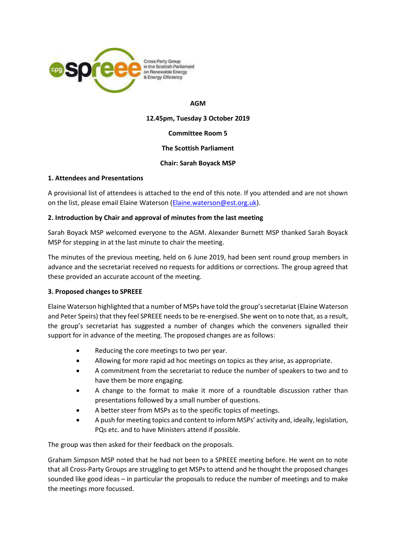

Cross Party Group In the Scottish Parliament on Renewable Energy & Energy Efficiency

### **AGM**

**12.45pm, Tuesday 3 October 2019**

**Committee Room 5**

### **The Scottish Parliament**

### **Chair: Sarah Boyack MSP**

### **1. Attendees and Presentations**

A provisional list of attendees is attached to the end of this note. If you attended and are not shown on the list, please email Elaine Waterson [\(Elaine.waterson@est.org.uk\)](mailto:Elaine.waterson@est.org.uk).

### **2. Introduction by Chair and approval of minutes from the last meeting**

Sarah Boyack MSP welcomed everyone to the AGM. Alexander Burnett MSP thanked Sarah Boyack MSP for stepping in at the last minute to chair the meeting.

The minutes of the previous meeting, held on 6 June 2019, had been sent round group members in advance and the secretariat received no requests for additions or corrections. The group agreed that these provided an accurate account of the meeting.

# **3. Proposed changes to SPREEE**

Elaine Waterson highlighted that a number of MSPs have told the group's secretariat (Elaine Waterson and Peter Speirs) that they feel SPREEE needs to be re-energised. She went on to note that, as a result, the group's secretariat has suggested a number of changes which the conveners signalled their support for in advance of the meeting. The proposed changes are as follows:

- Reducing the core meetings to two per year.
- Allowing for more rapid ad hoc meetings on topics as they arise, as appropriate.
- A commitment from the secretariat to reduce the number of speakers to two and to have them be more engaging.
- A change to the format to make it more of a roundtable discussion rather than presentations followed by a small number of questions.
- A better steer from MSPs as to the specific topics of meetings.
- A push for meeting topics and content to inform MSPs' activity and, ideally, legislation, PQs etc. and to have Ministers attend if possible.

The group was then asked for their feedback on the proposals.

Graham Simpson MSP noted that he had not been to a SPREEE meeting before. He went on to note that all Cross-Party Groups are struggling to get MSPs to attend and he thought the proposed changes sounded like good ideas – in particular the proposals to reduce the number of meetings and to make the meetings more focussed.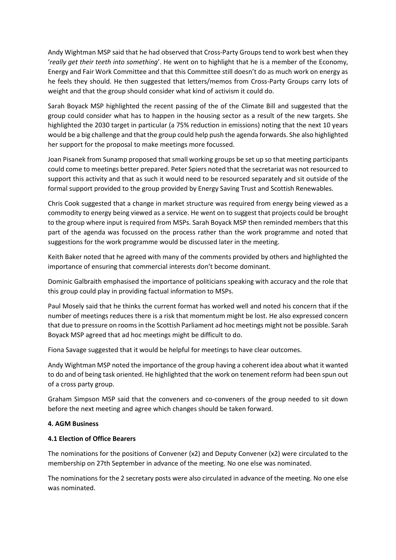Andy Wightman MSP said that he had observed that Cross-Party Groups tend to work best when they '*really get their teeth into something*'. He went on to highlight that he is a member of the Economy, Energy and Fair Work Committee and that this Committee still doesn't do as much work on energy as he feels they should. He then suggested that letters/memos from Cross-Party Groups carry lots of weight and that the group should consider what kind of activism it could do.

Sarah Boyack MSP highlighted the recent passing of the of the Climate Bill and suggested that the group could consider what has to happen in the housing sector as a result of the new targets. She highlighted the 2030 target in particular (a 75% reduction in emissions) noting that the next 10 years would be a big challenge and that the group could help push the agenda forwards. She also highlighted her support for the proposal to make meetings more focussed.

Joan Pisanek from Sunamp proposed that small working groups be set up so that meeting participants could come to meetings better prepared. Peter Spiers noted that the secretariat was not resourced to support this activity and that as such it would need to be resourced separately and sit outside of the formal support provided to the group provided by Energy Saving Trust and Scottish Renewables.

Chris Cook suggested that a change in market structure was required from energy being viewed as a commodity to energy being viewed as a service. He went on to suggest that projects could be brought to the group where input is required from MSPs. Sarah Boyack MSP then reminded members that this part of the agenda was focussed on the process rather than the work programme and noted that suggestions for the work programme would be discussed later in the meeting.

Keith Baker noted that he agreed with many of the comments provided by others and highlighted the importance of ensuring that commercial interests don't become dominant.

Dominic Galbraith emphasised the importance of politicians speaking with accuracy and the role that this group could play in providing factual information to MSPs.

Paul Mosely said that he thinks the current format has worked well and noted his concern that if the number of meetings reduces there is a risk that momentum might be lost. He also expressed concern that due to pressure on rooms in the Scottish Parliament ad hoc meetings might not be possible. Sarah Boyack MSP agreed that ad hoc meetings might be difficult to do.

Fiona Savage suggested that it would be helpful for meetings to have clear outcomes.

Andy Wightman MSP noted the importance of the group having a coherent idea about what it wanted to do and of being task oriented. He highlighted that the work on tenement reform had been spun out of a cross party group.

Graham Simpson MSP said that the conveners and co-conveners of the group needed to sit down before the next meeting and agree which changes should be taken forward.

### **4. AGM Business**

### **4.1 Election of Office Bearers**

The nominations for the positions of Convener (x2) and Deputy Convener (x2) were circulated to the membership on 27th September in advance of the meeting. No one else was nominated.

The nominations for the 2 secretary posts were also circulated in advance of the meeting. No one else was nominated.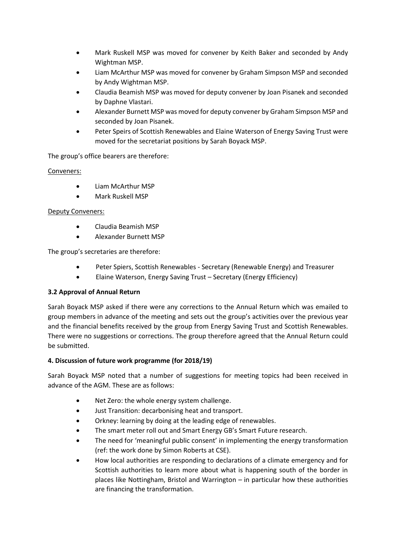- Mark Ruskell MSP was moved for convener by Keith Baker and seconded by Andy Wightman MSP.
- Liam McArthur MSP was moved for convener by Graham Simpson MSP and seconded by Andy Wightman MSP.
- Claudia Beamish MSP was moved for deputy convener by Joan Pisanek and seconded by Daphne Vlastari.
- Alexander Burnett MSP was moved for deputy convener by Graham Simpson MSP and seconded by Joan Pisanek.
- Peter Speirs of Scottish Renewables and Elaine Waterson of Energy Saving Trust were moved for the secretariat positions by Sarah Boyack MSP.

The group's office bearers are therefore:

# Conveners:

- Liam McArthur MSP
- Mark Ruskell MSP

# Deputy Conveners:

- Claudia Beamish MSP
- Alexander Burnett MSP

The group's secretaries are therefore:

- Peter Spiers, Scottish Renewables Secretary (Renewable Energy) and Treasurer
- Elaine Waterson, Energy Saving Trust Secretary (Energy Efficiency)

# **3.2 Approval of Annual Return**

Sarah Boyack MSP asked if there were any corrections to the Annual Return which was emailed to group members in advance of the meeting and sets out the group's activities over the previous year and the financial benefits received by the group from Energy Saving Trust and Scottish Renewables. There were no suggestions or corrections. The group therefore agreed that the Annual Return could be submitted.

# **4. Discussion of future work programme (for 2018/19)**

Sarah Boyack MSP noted that a number of suggestions for meeting topics had been received in advance of the AGM. These are as follows:

- Net Zero: the whole energy system challenge.
- Just Transition: decarbonising heat and transport.
- Orkney: learning by doing at the leading edge of renewables.
- The smart meter roll out and Smart Energy GB's Smart Future research.
- The need for 'meaningful public consent' in implementing the energy transformation (ref: the work done by Simon Roberts at CSE).
- How local authorities are responding to declarations of a climate emergency and for Scottish authorities to learn more about what is happening south of the border in places like Nottingham, Bristol and Warrington – in particular how these authorities are financing the transformation.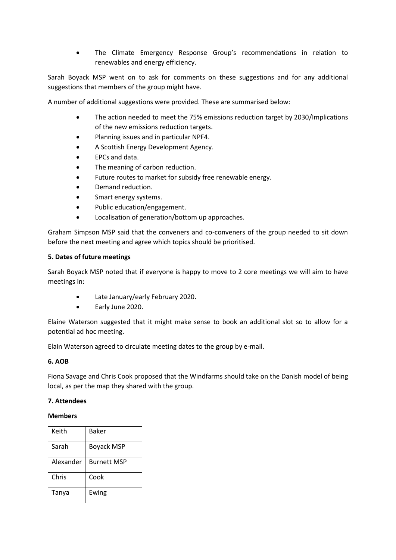• The Climate Emergency Response Group's recommendations in relation to renewables and energy efficiency.

Sarah Boyack MSP went on to ask for comments on these suggestions and for any additional suggestions that members of the group might have.

A number of additional suggestions were provided. These are summarised below:

- The action needed to meet the 75% emissions reduction target by 2030/Implications of the new emissions reduction targets.
- Planning issues and in particular NPF4.
- A Scottish Energy Development Agency.
- EPCs and data.
- The meaning of carbon reduction.
- Future routes to market for subsidy free renewable energy.
- Demand reduction.
- Smart energy systems.
- Public education/engagement.
- Localisation of generation/bottom up approaches.

Graham Simpson MSP said that the conveners and co-conveners of the group needed to sit down before the next meeting and agree which topics should be prioritised.

### **5. Dates of future meetings**

Sarah Boyack MSP noted that if everyone is happy to move to 2 core meetings we will aim to have meetings in:

- Late January/early February 2020.
- Early June 2020.

Elaine Waterson suggested that it might make sense to book an additional slot so to allow for a potential ad hoc meeting.

Elain Waterson agreed to circulate meeting dates to the group by e-mail.

### **6. AOB**

Fiona Savage and Chris Cook proposed that the Windfarms should take on the Danish model of being local, as per the map they shared with the group.

### **7. Attendees**

### **Members**

| Keith     | <b>Baker</b>       |
|-----------|--------------------|
| Sarah     | <b>Boyack MSP</b>  |
| Alexander | <b>Burnett MSP</b> |
| Chris     | Cook               |
| Tanya     | Ewing              |